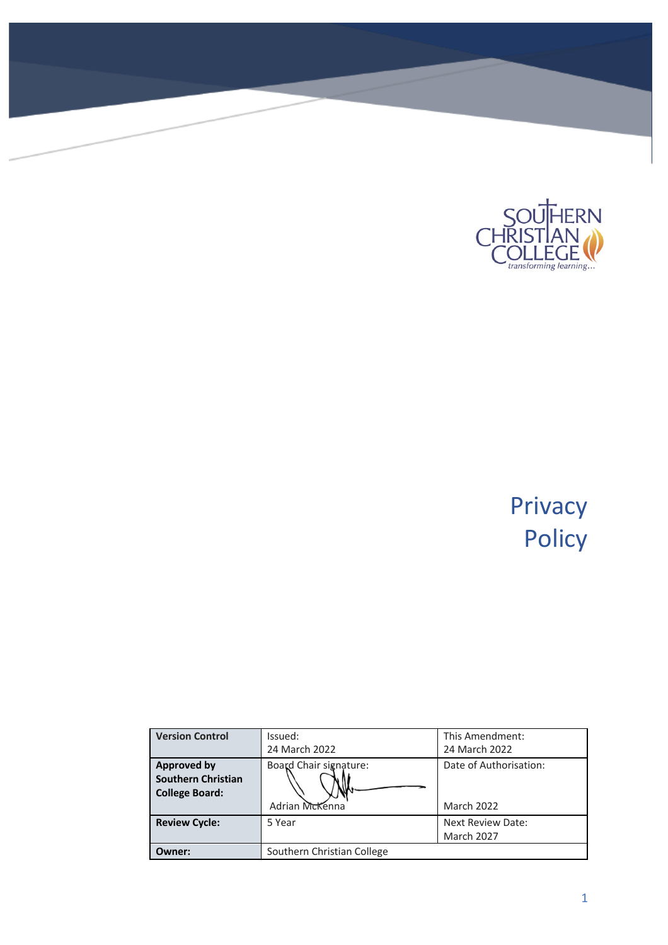

# Privacy Policy

| <b>Version Control</b>                                                   | Issued:<br>24 March 2022                 | This Amendment:<br>24 March 2022            |
|--------------------------------------------------------------------------|------------------------------------------|---------------------------------------------|
| <b>Approved by</b><br><b>Southern Christian</b><br><b>College Board:</b> | Board Chair signature:<br>Adrian McKenna | Date of Authorisation:<br><b>March 2022</b> |
| <b>Review Cycle:</b>                                                     | 5 Year                                   | Next Review Date:<br>March 2027             |
| Owner:                                                                   | Southern Christian College               |                                             |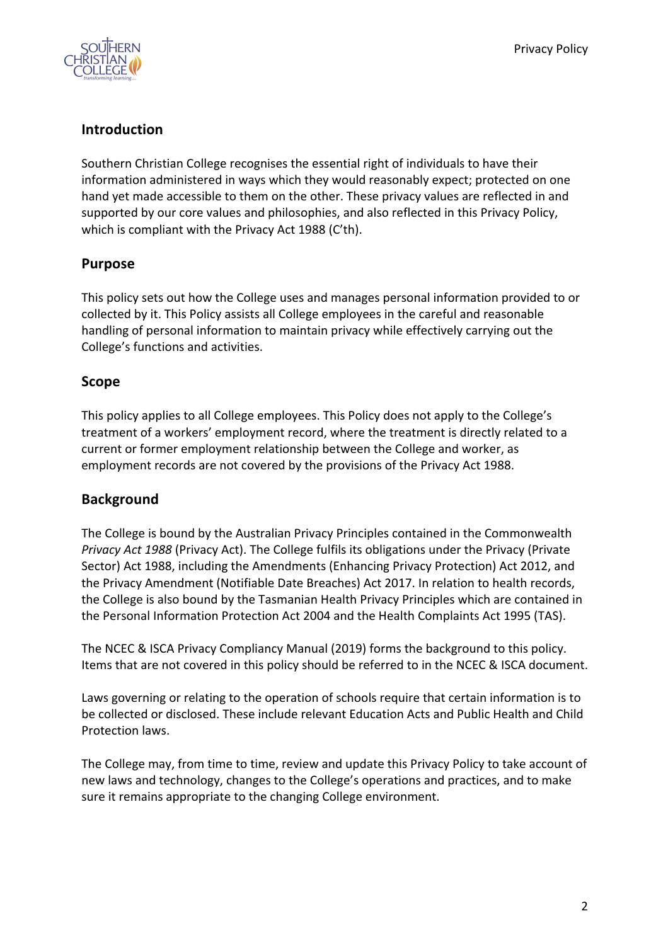

# **Introduction**

Southern Christian College recognises the essential right of individuals to have their information administered in ways which they would reasonably expect; protected on one hand yet made accessible to them on the other. These privacy values are reflected in and supported by our core values and philosophies, and also reflected in this Privacy Policy, which is compliant with the Privacy Act 1988 (C'th).

## **Purpose**

This policy sets out how the College uses and manages personal information provided to or collected by it. This Policy assists all College employees in the careful and reasonable handling of personal information to maintain privacy while effectively carrying out the College's functions and activities.

## **Scope**

This policy applies to all College employees. This Policy does not apply to the College's treatment of a workers' employment record, where the treatment is directly related to a current or former employment relationship between the College and worker, as employment records are not covered by the provisions of the Privacy Act 1988.

#### **Background**

The College is bound by the Australian Privacy Principles contained in the Commonwealth *Privacy Act 1988* (Privacy Act). The College fulfils its obligations under the Privacy (Private Sector) Act 1988, including the Amendments (Enhancing Privacy Protection) Act 2012, and the Privacy Amendment (Notifiable Date Breaches) Act 2017. In relation to health records, the College is also bound by the Tasmanian Health Privacy Principles which are contained in the Personal Information Protection Act 2004 and the Health Complaints Act 1995 (TAS).

The NCEC & ISCA Privacy Compliancy Manual (2019) forms the background to this policy. Items that are not covered in this policy should be referred to in the NCEC & ISCA document.

Laws governing or relating to the operation of schools require that certain information is to be collected or disclosed. These include relevant Education Acts and Public Health and Child Protection laws.

The College may, from time to time, review and update this Privacy Policy to take account of new laws and technology, changes to the College's operations and practices, and to make sure it remains appropriate to the changing College environment.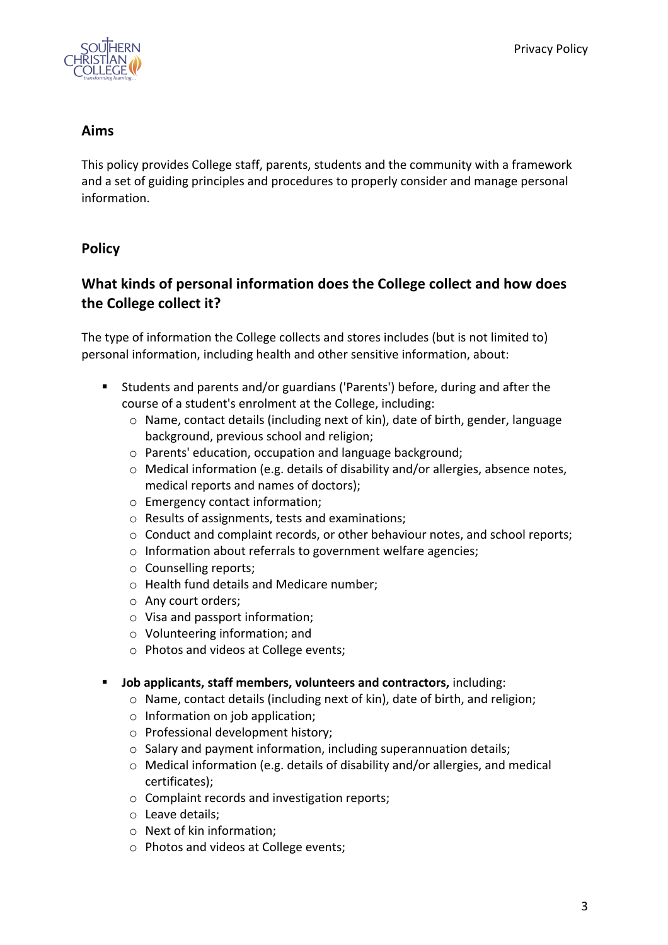

#### **Aims**

This policy provides College staff, parents, students and the community with a framework and a set of guiding principles and procedures to properly consider and manage personal information.

# **Policy**

# **What kinds of personal information does the College collect and how does the College collect it?**

The type of information the College collects and stores includes (but is not limited to) personal information, including health and other sensitive information, about:

- § Students and parents and/or guardians ('Parents') before, during and after the course of a student's enrolment at the College, including:
	- $\circ$  Name, contact details (including next of kin), date of birth, gender, language background, previous school and religion;
	- o Parents' education, occupation and language background;
	- $\circ$  Medical information (e.g. details of disability and/or allergies, absence notes, medical reports and names of doctors);
	- o Emergency contact information;
	- o Results of assignments, tests and examinations;
	- $\circ$  Conduct and complaint records, or other behaviour notes, and school reports;
	- o Information about referrals to government welfare agencies;
	- o Counselling reports;
	- o Health fund details and Medicare number;
	- o Any court orders;
	- o Visa and passport information;
	- o Volunteering information; and
	- o Photos and videos at College events;
- § **Job applicants, staff members, volunteers and contractors,** including:
	- o Name, contact details (including next of kin), date of birth, and religion;
	- o Information on job application;
	- o Professional development history;
	- o Salary and payment information, including superannuation details;
	- $\circ$  Medical information (e.g. details of disability and/or allergies, and medical certificates);
	- o Complaint records and investigation reports;
	- o Leave details;
	- o Next of kin information;
	- o Photos and videos at College events;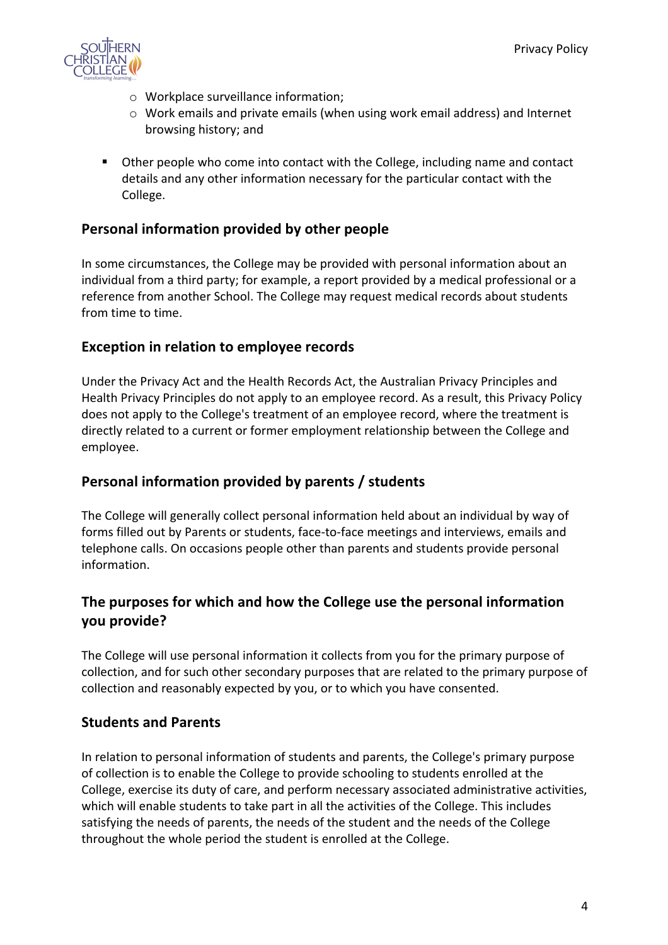

- o Workplace surveillance information;
- o Work emails and private emails (when using work email address) and Internet browsing history; and
- Other people who come into contact with the College, including name and contact details and any other information necessary for the particular contact with the College.

## **Personal information provided by other people**

In some circumstances, the College may be provided with personal information about an individual from a third party; for example, a report provided by a medical professional or a reference from another School. The College may request medical records about students from time to time.

## **Exception in relation to employee records**

Under the Privacy Act and the Health Records Act, the Australian Privacy Principles and Health Privacy Principles do not apply to an employee record. As a result, this Privacy Policy does not apply to the College's treatment of an employee record, where the treatment is directly related to a current or former employment relationship between the College and employee.

#### **Personal information provided by parents / students**

The College will generally collect personal information held about an individual by way of forms filled out by Parents or students, face-to-face meetings and interviews, emails and telephone calls. On occasions people other than parents and students provide personal information.

# **The purposes for which and how the College use the personal information you provide?**

The College will use personal information it collects from you for the primary purpose of collection, and for such other secondary purposes that are related to the primary purpose of collection and reasonably expected by you, or to which you have consented.

#### **Students and Parents**

In relation to personal information of students and parents, the College's primary purpose of collection is to enable the College to provide schooling to students enrolled at the College, exercise its duty of care, and perform necessary associated administrative activities, which will enable students to take part in all the activities of the College. This includes satisfying the needs of parents, the needs of the student and the needs of the College throughout the whole period the student is enrolled at the College.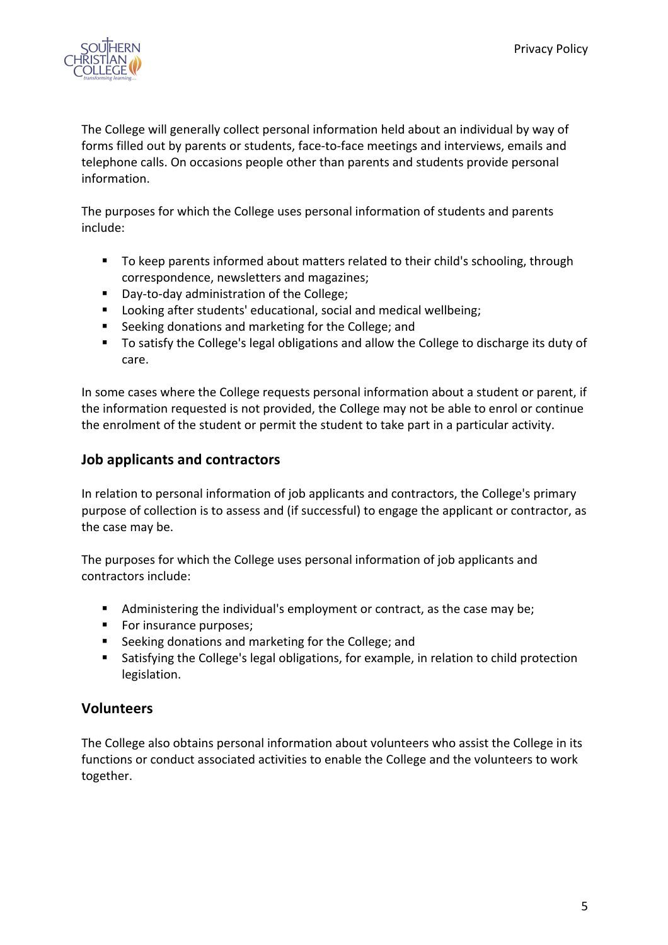

The College will generally collect personal information held about an individual by way of forms filled out by parents or students, face-to-face meetings and interviews, emails and telephone calls. On occasions people other than parents and students provide personal information.

The purposes for which the College uses personal information of students and parents include:

- § To keep parents informed about matters related to their child's schooling, through correspondence, newsletters and magazines;
- § Day-to-day administration of the College;
- Looking after students' educational, social and medical wellbeing;
- § Seeking donations and marketing for the College; and
- To satisfy the College's legal obligations and allow the College to discharge its duty of care.

In some cases where the College requests personal information about a student or parent, if the information requested is not provided, the College may not be able to enrol or continue the enrolment of the student or permit the student to take part in a particular activity.

## **Job applicants and contractors**

In relation to personal information of job applicants and contractors, the College's primary purpose of collection is to assess and (if successful) to engage the applicant or contractor, as the case may be.

The purposes for which the College uses personal information of job applicants and contractors include:

- Administering the individual's employment or contract, as the case may be;
- For insurance purposes;
- § Seeking donations and marketing for the College; and
- Satisfying the College's legal obligations, for example, in relation to child protection legislation.

#### **Volunteers**

The College also obtains personal information about volunteers who assist the College in its functions or conduct associated activities to enable the College and the volunteers to work together.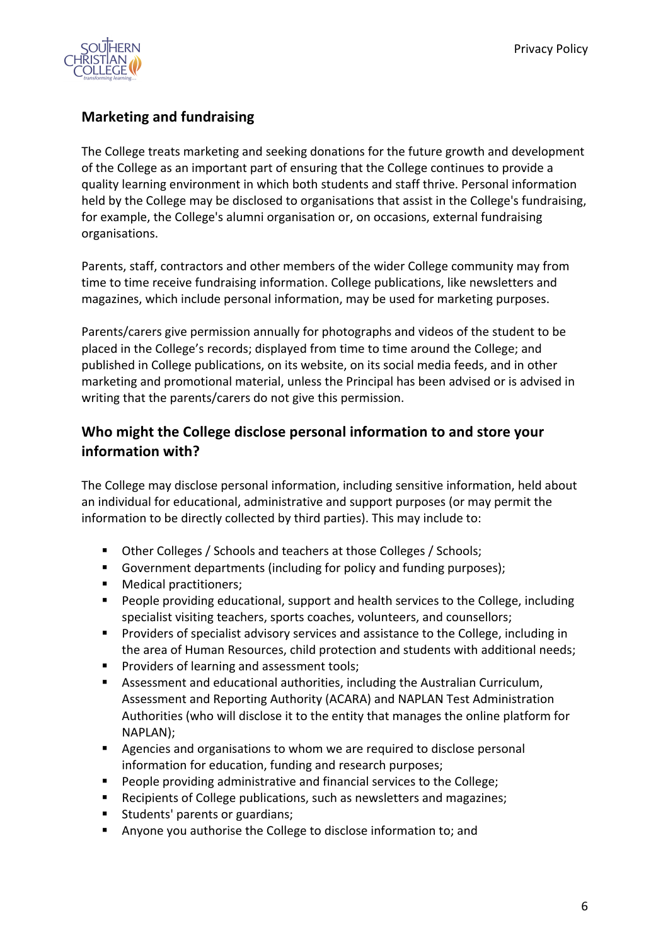

# **Marketing and fundraising**

The College treats marketing and seeking donations for the future growth and development of the College as an important part of ensuring that the College continues to provide a quality learning environment in which both students and staff thrive. Personal information held by the College may be disclosed to organisations that assist in the College's fundraising, for example, the College's alumni organisation or, on occasions, external fundraising organisations.

Parents, staff, contractors and other members of the wider College community may from time to time receive fundraising information. College publications, like newsletters and magazines, which include personal information, may be used for marketing purposes.

Parents/carers give permission annually for photographs and videos of the student to be placed in the College's records; displayed from time to time around the College; and published in College publications, on its website, on its social media feeds, and in other marketing and promotional material, unless the Principal has been advised or is advised in writing that the parents/carers do not give this permission.

# **Who might the College disclose personal information to and store your information with?**

The College may disclose personal information, including sensitive information, held about an individual for educational, administrative and support purposes (or may permit the information to be directly collected by third parties). This may include to:

- Other Colleges / Schools and teachers at those Colleges / Schools;
- Government departments (including for policy and funding purposes);
- Medical practitioners:
- People providing educational, support and health services to the College, including specialist visiting teachers, sports coaches, volunteers, and counsellors;
- Providers of specialist advisory services and assistance to the College, including in the area of Human Resources, child protection and students with additional needs;
- Providers of learning and assessment tools;
- **•** Assessment and educational authorities, including the Australian Curriculum, Assessment and Reporting Authority (ACARA) and NAPLAN Test Administration Authorities (who will disclose it to the entity that manages the online platform for NAPLAN);
- Agencies and organisations to whom we are required to disclose personal information for education, funding and research purposes;
- People providing administrative and financial services to the College;
- Recipients of College publications, such as newsletters and magazines;
- Students' parents or guardians;
- § Anyone you authorise the College to disclose information to; and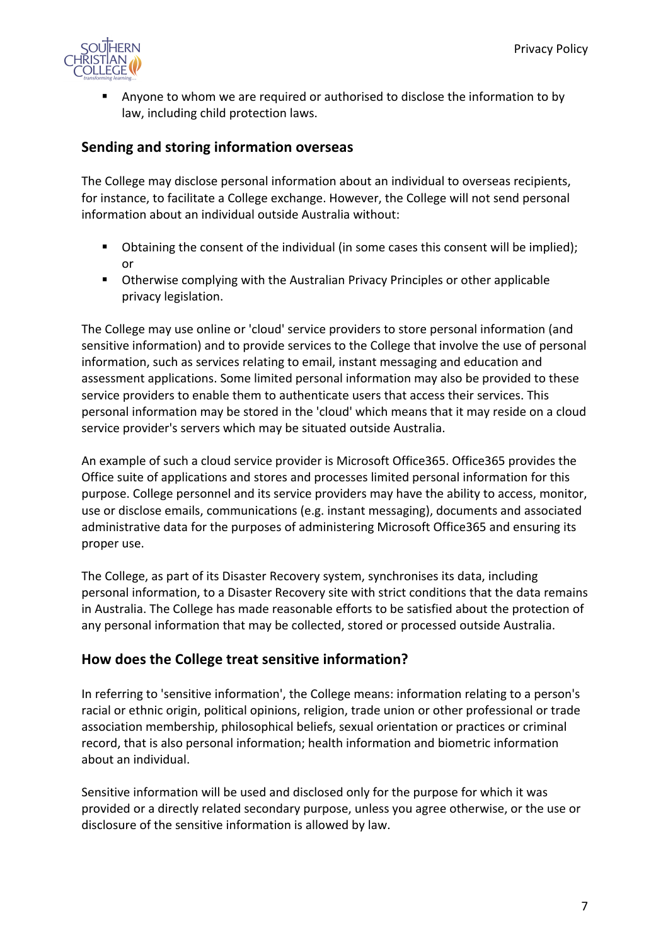

§ Anyone to whom we are required or authorised to disclose the information to by law, including child protection laws.

## **Sending and storing information overseas**

The College may disclose personal information about an individual to overseas recipients, for instance, to facilitate a College exchange. However, the College will not send personal information about an individual outside Australia without:

- Obtaining the consent of the individual (in some cases this consent will be implied); or
- Otherwise complying with the Australian Privacy Principles or other applicable privacy legislation.

The College may use online or 'cloud' service providers to store personal information (and sensitive information) and to provide services to the College that involve the use of personal information, such as services relating to email, instant messaging and education and assessment applications. Some limited personal information may also be provided to these service providers to enable them to authenticate users that access their services. This personal information may be stored in the 'cloud' which means that it may reside on a cloud service provider's servers which may be situated outside Australia.

An example of such a cloud service provider is Microsoft Office365. Office365 provides the Office suite of applications and stores and processes limited personal information for this purpose. College personnel and its service providers may have the ability to access, monitor, use or disclose emails, communications (e.g. instant messaging), documents and associated administrative data for the purposes of administering Microsoft Office365 and ensuring its proper use.

The College, as part of its Disaster Recovery system, synchronises its data, including personal information, to a Disaster Recovery site with strict conditions that the data remains in Australia. The College has made reasonable efforts to be satisfied about the protection of any personal information that may be collected, stored or processed outside Australia.

#### **How does the College treat sensitive information?**

In referring to 'sensitive information', the College means: information relating to a person's racial or ethnic origin, political opinions, religion, trade union or other professional or trade association membership, philosophical beliefs, sexual orientation or practices or criminal record, that is also personal information; health information and biometric information about an individual.

Sensitive information will be used and disclosed only for the purpose for which it was provided or a directly related secondary purpose, unless you agree otherwise, or the use or disclosure of the sensitive information is allowed by law.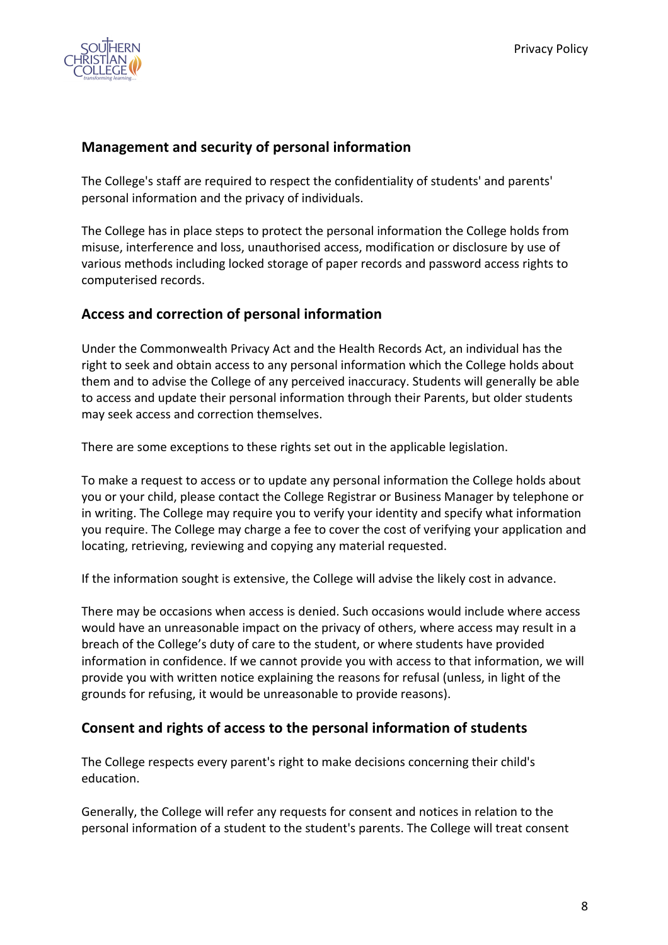

# **Management and security of personal information**

The College's staff are required to respect the confidentiality of students' and parents' personal information and the privacy of individuals.

The College has in place steps to protect the personal information the College holds from misuse, interference and loss, unauthorised access, modification or disclosure by use of various methods including locked storage of paper records and password access rights to computerised records.

## **Access and correction of personal information**

Under the Commonwealth Privacy Act and the Health Records Act, an individual has the right to seek and obtain access to any personal information which the College holds about them and to advise the College of any perceived inaccuracy. Students will generally be able to access and update their personal information through their Parents, but older students may seek access and correction themselves.

There are some exceptions to these rights set out in the applicable legislation.

To make a request to access or to update any personal information the College holds about you or your child, please contact the College Registrar or Business Manager by telephone or in writing. The College may require you to verify your identity and specify what information you require. The College may charge a fee to cover the cost of verifying your application and locating, retrieving, reviewing and copying any material requested.

If the information sought is extensive, the College will advise the likely cost in advance.

There may be occasions when access is denied. Such occasions would include where access would have an unreasonable impact on the privacy of others, where access may result in a breach of the College's duty of care to the student, or where students have provided information in confidence. If we cannot provide you with access to that information, we will provide you with written notice explaining the reasons for refusal (unless, in light of the grounds for refusing, it would be unreasonable to provide reasons).

## **Consent and rights of access to the personal information of students**

The College respects every parent's right to make decisions concerning their child's education.

Generally, the College will refer any requests for consent and notices in relation to the personal information of a student to the student's parents. The College will treat consent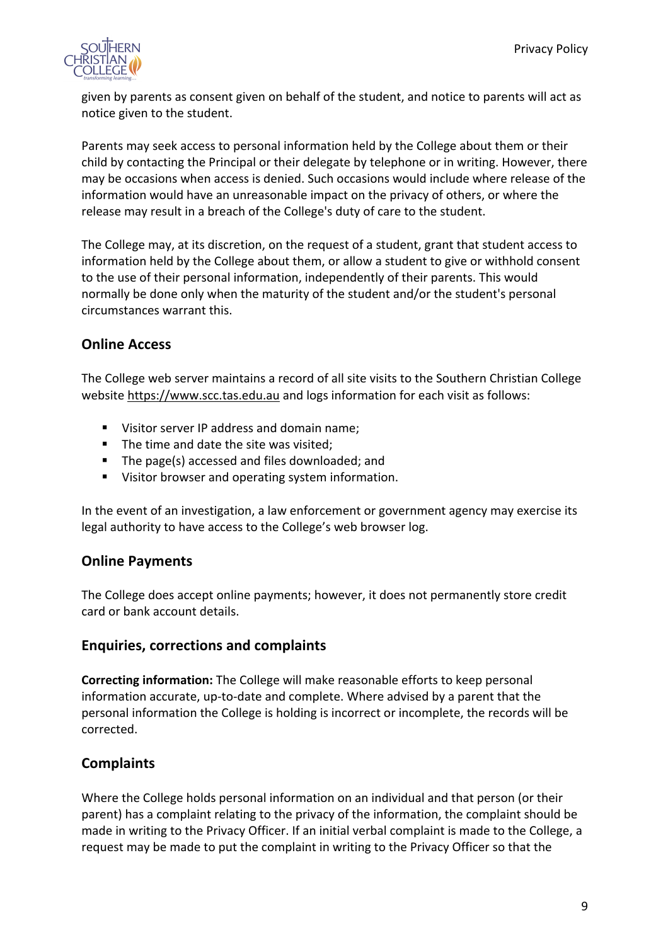

given by parents as consent given on behalf of the student, and notice to parents will act as notice given to the student.

Parents may seek access to personal information held by the College about them or their child by contacting the Principal or their delegate by telephone or in writing. However, there may be occasions when access is denied. Such occasions would include where release of the information would have an unreasonable impact on the privacy of others, or where the release may result in a breach of the College's duty of care to the student.

The College may, at its discretion, on the request of a student, grant that student access to information held by the College about them, or allow a student to give or withhold consent to the use of their personal information, independently of their parents. This would normally be done only when the maturity of the student and/or the student's personal circumstances warrant this.

## **Online Access**

The College web server maintains a record of all site visits to the Southern Christian College website https://www.scc.tas.edu.au and logs information for each visit as follows:

- Visitor server IP address and domain name;
- The time and date the site was visited;
- The page(s) accessed and files downloaded; and
- Visitor browser and operating system information.

In the event of an investigation, a law enforcement or government agency may exercise its legal authority to have access to the College's web browser log.

#### **Online Payments**

The College does accept online payments; however, it does not permanently store credit card or bank account details.

#### **Enquiries, corrections and complaints**

**Correcting information:** The College will make reasonable efforts to keep personal information accurate, up-to-date and complete. Where advised by a parent that the personal information the College is holding is incorrect or incomplete, the records will be corrected.

## **Complaints**

Where the College holds personal information on an individual and that person (or their parent) has a complaint relating to the privacy of the information, the complaint should be made in writing to the Privacy Officer. If an initial verbal complaint is made to the College, a request may be made to put the complaint in writing to the Privacy Officer so that the